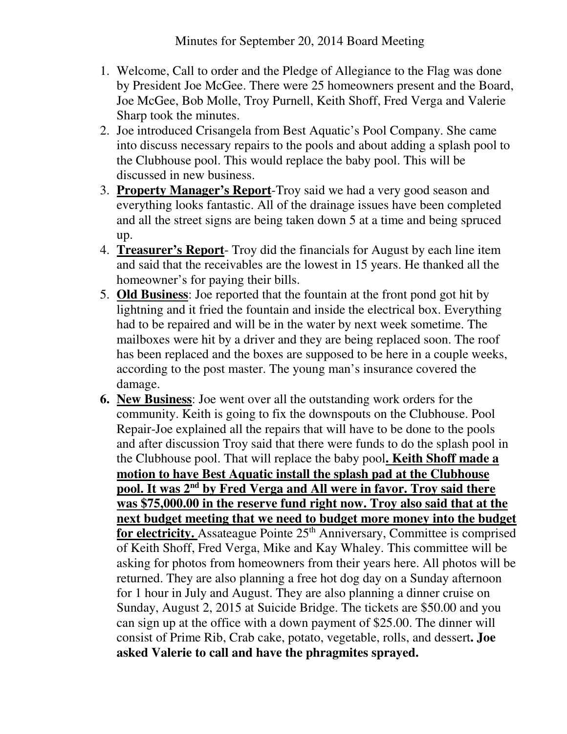- 1. Welcome, Call to order and the Pledge of Allegiance to the Flag was done by President Joe McGee. There were 25 homeowners present and the Board, Joe McGee, Bob Molle, Troy Purnell, Keith Shoff, Fred Verga and Valerie Sharp took the minutes.
- 2. Joe introduced Crisangela from Best Aquatic's Pool Company. She came into discuss necessary repairs to the pools and about adding a splash pool to the Clubhouse pool. This would replace the baby pool. This will be discussed in new business.
- 3. **Property Manager's Report**-Troy said we had a very good season and everything looks fantastic. All of the drainage issues have been completed and all the street signs are being taken down 5 at a time and being spruced up.
- 4. **Treasurer's Report** Troy did the financials for August by each line item and said that the receivables are the lowest in 15 years. He thanked all the homeowner's for paying their bills.
- 5. **Old Business**: Joe reported that the fountain at the front pond got hit by lightning and it fried the fountain and inside the electrical box. Everything had to be repaired and will be in the water by next week sometime. The mailboxes were hit by a driver and they are being replaced soon. The roof has been replaced and the boxes are supposed to be here in a couple weeks, according to the post master. The young man's insurance covered the damage.
- **6. New Business**: Joe went over all the outstanding work orders for the community. Keith is going to fix the downspouts on the Clubhouse. Pool Repair-Joe explained all the repairs that will have to be done to the pools and after discussion Troy said that there were funds to do the splash pool in the Clubhouse pool. That will replace the baby pool**. Keith Shoff made a motion to have Best Aquatic install the splash pad at the Clubhouse pool. It was 2nd by Fred Verga and All were in favor. Troy said there was \$75,000.00 in the reserve fund right now. Troy also said that at the next budget meeting that we need to budget more money into the budget for electricity.** Assateague Pointe 25<sup>th</sup> Anniversary, Committee is comprised of Keith Shoff, Fred Verga, Mike and Kay Whaley. This committee will be asking for photos from homeowners from their years here. All photos will be returned. They are also planning a free hot dog day on a Sunday afternoon for 1 hour in July and August. They are also planning a dinner cruise on Sunday, August 2, 2015 at Suicide Bridge. The tickets are \$50.00 and you can sign up at the office with a down payment of \$25.00. The dinner will consist of Prime Rib, Crab cake, potato, vegetable, rolls, and dessert**. Joe asked Valerie to call and have the phragmites sprayed.**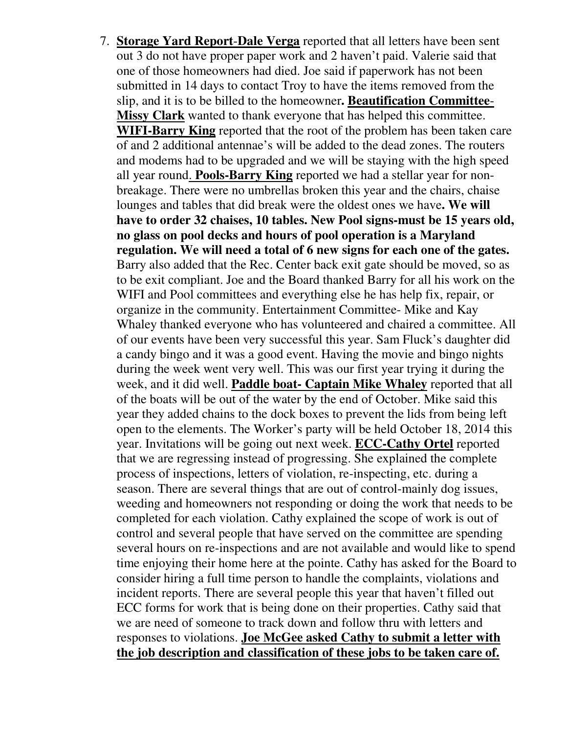7. **Storage Yard Report**-**Dale Verga** reported that all letters have been sent out 3 do not have proper paper work and 2 haven't paid. Valerie said that one of those homeowners had died. Joe said if paperwork has not been submitted in 14 days to contact Troy to have the items removed from the slip, and it is to be billed to the homeowner**. Beautification Committee**-**Missy Clark** wanted to thank everyone that has helped this committee. **WIFI-Barry King** reported that the root of the problem has been taken care of and 2 additional antennae's will be added to the dead zones. The routers and modems had to be upgraded and we will be staying with the high speed all year round. **Pools-Barry King** reported we had a stellar year for nonbreakage. There were no umbrellas broken this year and the chairs, chaise lounges and tables that did break were the oldest ones we have**. We will have to order 32 chaises, 10 tables. New Pool signs-must be 15 years old, no glass on pool decks and hours of pool operation is a Maryland regulation. We will need a total of 6 new signs for each one of the gates.**  Barry also added that the Rec. Center back exit gate should be moved, so as to be exit compliant. Joe and the Board thanked Barry for all his work on the WIFI and Pool committees and everything else he has help fix, repair, or organize in the community. Entertainment Committee- Mike and Kay Whaley thanked everyone who has volunteered and chaired a committee. All of our events have been very successful this year. Sam Fluck's daughter did a candy bingo and it was a good event. Having the movie and bingo nights during the week went very well. This was our first year trying it during the week, and it did well. **Paddle boat- Captain Mike Whaley** reported that all of the boats will be out of the water by the end of October. Mike said this year they added chains to the dock boxes to prevent the lids from being left open to the elements. The Worker's party will be held October 18, 2014 this year. Invitations will be going out next week. **ECC-Cathy Ortel** reported that we are regressing instead of progressing. She explained the complete process of inspections, letters of violation, re-inspecting, etc. during a season. There are several things that are out of control-mainly dog issues, weeding and homeowners not responding or doing the work that needs to be completed for each violation. Cathy explained the scope of work is out of control and several people that have served on the committee are spending several hours on re-inspections and are not available and would like to spend time enjoying their home here at the pointe. Cathy has asked for the Board to consider hiring a full time person to handle the complaints, violations and incident reports. There are several people this year that haven't filled out ECC forms for work that is being done on their properties. Cathy said that we are need of someone to track down and follow thru with letters and responses to violations. **Joe McGee asked Cathy to submit a letter with the job description and classification of these jobs to be taken care of.**